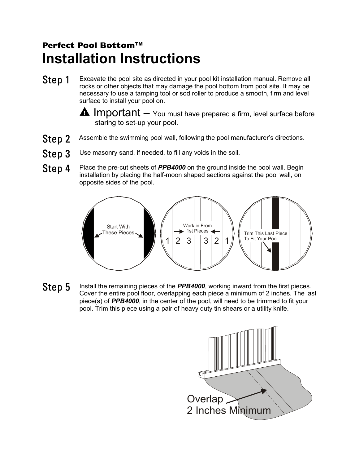## **Perfect Pool Bottom™ Installation Instructions**

- Excavate the pool site as directed in your pool kit installation manual. Remove all rocks or other objects that may damage the pool bottom from pool site. It may be necessary to use a tamping tool or sod roller to produce a smooth, firm and level surface to install your pool on. Step 1
	- $\triangle$  Important  $-$  You must have prepared a firm, level surface before staring to set-up your pool.
- Assemble the swimming pool wall, following the pool manufacturer's directions. Step 2
- Use masonry sand, if needed, to fill any voids in the soil. Step 3
- Place the pre-cut sheets of *PPB4000* on the ground inside the pool wall. Begin installation by placing the half-moon shaped sections against the pool wall, on opposite sides of the pool. Step 4



 Install the remaining pieces of the *PPB4000*, working inward from the first pieces. Cover the entire pool floor, overlapping each piece a minimum of 2 inches. The last piece(s) of *PPB4000*, in the center of the pool, will need to be trimmed to fit your pool. Trim this piece using a pair of heavy duty tin shears or a utility knife. Step 5